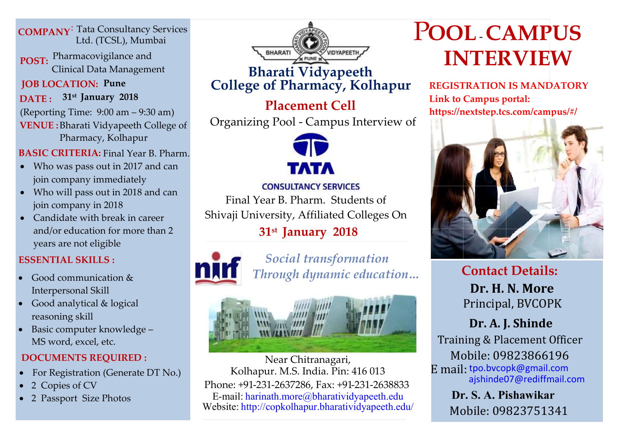**COMPANY**  : Tata Consultancy Services Ltd. (TCSL), Mumbai

**POST:** Pharmacovigilance and Clinical Data Management

**JOB LOCATION: Pune DATE : 31st January 2018**

(Reporting Time: 9:00 am – 9:30 am) **VENUE :** Bharati Vidyapeeth College of Pharmacy, Kolhapur

**BASIC CRITERIA:** Final Year B. Pharm.

- join company immediately • Who was pass out in 2017 and can
- Who will pass out in 2018 and can join company in 2018
- Candidate with break in career and/or education for more than 2 years are not eligible

## **ESSENTIAL SKILLS :**

- Good communication & Interpersonal Skill
- Good analytical & logical reasoning skill
- Basic computer knowledge MS word, excel, etc.

## **DOCUMENTS REQUIRED :**

- For Registration (Generate DT No.)
- 2 Copies of CV
- 2 Passport Size Photos



## **Bharati Vidyapeeth College of Pharmacy, Kolhapur**

# **Placement Cell** Organizing Pool - Campus Interview of



### **CONSULTANCY SERVICES**

Final Year B. Pharm. Students of Shivaji University, Affiliated Colleges On

# **31st January 2018**



*Social transformation Through dynamic education…*



Near Chitranagari, Kolhapur. M.S. India. Pin: 416 013 Phone: +91-231-2637286, Fax: +91-231-2638833 E-mail: harinath.more@bharatividyapeeth.edu Website: http://copkolhapur.bharatividyapeeth.edu/

# POOL-CAMPUS **INTERVIEW**

 **REGISTRATION IS MANDATORY Link to Campus portal: https://nextstep.tcs.com/campus/#/**



**Contact Details: Dr. H. N. More** Principal, BVCOPK

**Dr. A. J. Shinde** Training & Placement Officer Mobile: 09823866196 E mail: tpo.bvcopk@gmail.com ajshinde07@rediffmail.com

> Mobile: 09823751341 **Dr. S. A. Pishawikar**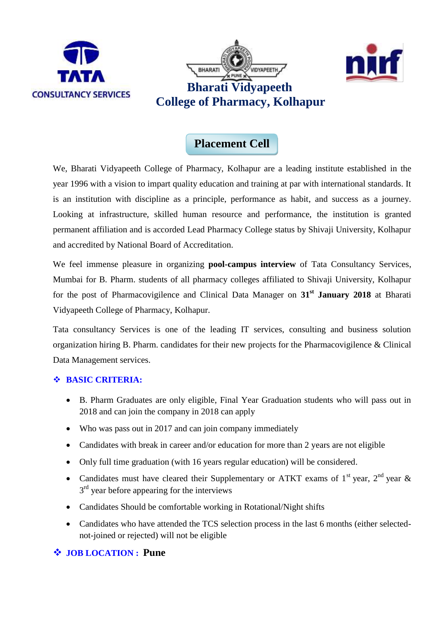





## **Placement Cell**

We, Bharati Vidyapeeth College of Pharmacy, Kolhapur are a leading institute established in the year 1996 with a vision to impart quality education and training at par with international standards. It is an institution with discipline as a principle, performance as habit, and success as a journey. Looking at infrastructure, skilled human resource and performance, the institution is granted permanent affiliation and is accorded Lead Pharmacy College status by Shivaji University, Kolhapur and accredited by National Board of Accreditation.

We feel immense pleasure in organizing **pool-campus interview** of Tata Consultancy Services, Mumbai for B. Pharm. students of all pharmacy colleges affiliated to Shivaji University, Kolhapur for the post of Pharmacovigilence and Clinical Data Manager on **31st January 2018** at Bharati Vidyapeeth College of Pharmacy, Kolhapur.

Tata consultancy Services is one of the leading IT services, consulting and business solution organization hiring B. Pharm. candidates for their new projects for the Pharmacovigilence & Clinical Data Management services.

#### **BASIC CRITERIA:**

- B. Pharm Graduates are only eligible, Final Year Graduation students who will pass out in 2018 and can join the company in 2018 can apply
- Who was pass out in 2017 and can join company immediately
- Candidates with break in career and/or education for more than 2 years are not eligible
- Only full time graduation (with 16 years regular education) will be considered.
- Candidates must have cleared their Supplementary or ATKT exams of  $1<sup>st</sup>$  year,  $2<sup>nd</sup>$  year &  $3<sup>rd</sup>$  year before appearing for the interviews
- Candidates Should be comfortable working in Rotational/Night shifts
- Candidates who have attended the TCS selection process in the last 6 months (either selectednot-joined or rejected) will not be eligible

#### **JOB LOCATION : Pune**